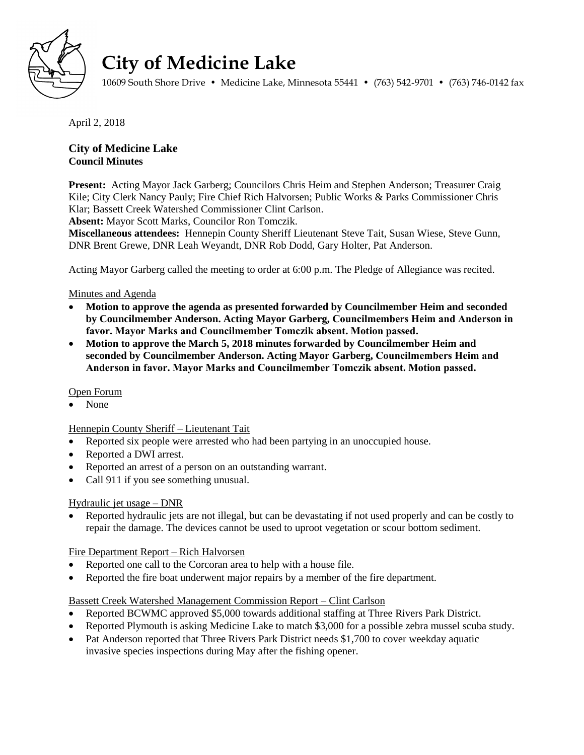

# **City of Medicine Lake**

10609 South Shore Drive • Medicine Lake, Minnesota 55441 • (763) 542-9701 • (763) 746-0142 fax

April 2, 2018

# **City of Medicine Lake Council Minutes**

**Present:** Acting Mayor Jack Garberg; Councilors Chris Heim and Stephen Anderson; Treasurer Craig Kile; City Clerk Nancy Pauly; Fire Chief Rich Halvorsen; Public Works & Parks Commissioner Chris Klar; Bassett Creek Watershed Commissioner Clint Carlson.

**Absent:** Mayor Scott Marks, Councilor Ron Tomczik.

**Miscellaneous attendees:** Hennepin County Sheriff Lieutenant Steve Tait, Susan Wiese, Steve Gunn, DNR Brent Grewe, DNR Leah Weyandt, DNR Rob Dodd, Gary Holter, Pat Anderson.

Acting Mayor Garberg called the meeting to order at 6:00 p.m. The Pledge of Allegiance was recited.

## Minutes and Agenda

- **Motion to approve the agenda as presented forwarded by Councilmember Heim and seconded by Councilmember Anderson. Acting Mayor Garberg, Councilmembers Heim and Anderson in favor. Mayor Marks and Councilmember Tomczik absent. Motion passed.**
- **Motion to approve the March 5, 2018 minutes forwarded by Councilmember Heim and seconded by Councilmember Anderson. Acting Mayor Garberg, Councilmembers Heim and Anderson in favor. Mayor Marks and Councilmember Tomczik absent. Motion passed.**

## Open Forum

None

## Hennepin County Sheriff – Lieutenant Tait

- Reported six people were arrested who had been partying in an unoccupied house.
- Reported a DWI arrest.
- Reported an arrest of a person on an outstanding warrant.
- Call 911 if you see something unusual.

## Hydraulic jet usage – DNR

 Reported hydraulic jets are not illegal, but can be devastating if not used properly and can be costly to repair the damage. The devices cannot be used to uproot vegetation or scour bottom sediment.

## Fire Department Report – Rich Halvorsen

- Reported one call to the Corcoran area to help with a house file.
- Reported the fire boat underwent major repairs by a member of the fire department.

## Bassett Creek Watershed Management Commission Report – Clint Carlson

- Reported BCWMC approved \$5,000 towards additional staffing at Three Rivers Park District.
- Reported Plymouth is asking Medicine Lake to match \$3,000 for a possible zebra mussel scuba study.
- Pat Anderson reported that Three Rivers Park District needs \$1,700 to cover weekday aquatic invasive species inspections during May after the fishing opener.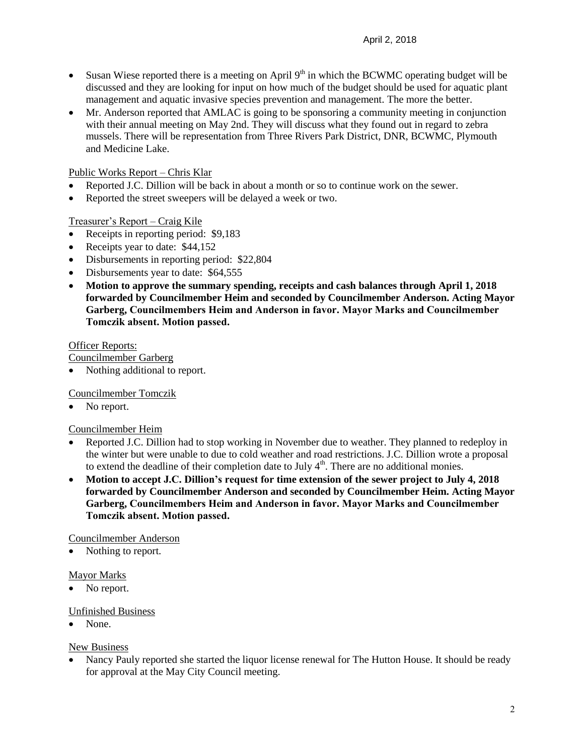- Susan Wiese reported there is a meeting on April  $9<sup>th</sup>$  in which the BCWMC operating budget will be discussed and they are looking for input on how much of the budget should be used for aquatic plant management and aquatic invasive species prevention and management. The more the better.
- Mr. Anderson reported that AMLAC is going to be sponsoring a community meeting in conjunction with their annual meeting on May 2nd. They will discuss what they found out in regard to zebra mussels. There will be representation from Three Rivers Park District, DNR, BCWMC, Plymouth and Medicine Lake.

## Public Works Report – Chris Klar

- Reported J.C. Dillion will be back in about a month or so to continue work on the sewer.
- Reported the street sweepers will be delayed a week or two.

## Treasurer's Report – Craig Kile

- Receipts in reporting period: \$9,183
- Receipts year to date: \$44,152
- Disbursements in reporting period: \$22,804
- Disbursements year to date: \$64,555
- **Motion to approve the summary spending, receipts and cash balances through April 1, 2018 forwarded by Councilmember Heim and seconded by Councilmember Anderson. Acting Mayor Garberg, Councilmembers Heim and Anderson in favor. Mayor Marks and Councilmember Tomczik absent. Motion passed.**

## Officer Reports:

Councilmember Garberg

Nothing additional to report.

Councilmember Tomczik

No report.

## Councilmember Heim

- Reported J.C. Dillion had to stop working in November due to weather. They planned to redeploy in the winter but were unable to due to cold weather and road restrictions. J.C. Dillion wrote a proposal to extend the deadline of their completion date to July  $4<sup>th</sup>$ . There are no additional monies.
- **Motion to accept J.C. Dillion's request for time extension of the sewer project to July 4, 2018 forwarded by Councilmember Anderson and seconded by Councilmember Heim. Acting Mayor Garberg, Councilmembers Heim and Anderson in favor. Mayor Marks and Councilmember Tomczik absent. Motion passed.**

## Councilmember Anderson

Nothing to report.

## Mayor Marks

• No report.

## Unfinished Business

None.

## New Business

 Nancy Pauly reported she started the liquor license renewal for The Hutton House. It should be ready for approval at the May City Council meeting.